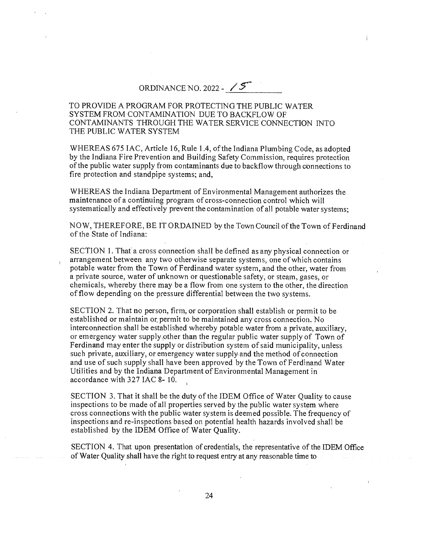ORDINANCE NO. 2022 -  $\mathscr{I}$ 

## TO PROVIDE A PROGRAM FOR PROTECTING THE PUBLIC WATER SYSTEM FROM CONTAMINATION DUE TO BACKFLOW OF CONTAMINANTS THROUGH THE WATER SERVICE CONNECTION INTO THE PUBLIC WATER SYSTEM

WHEREAS 675 IAC, Article 16, Rule 1.4, of the Indiana Plumbing Code, as adopted by the Indiana Fire Prevention and Building Safety Commission, requires protection of the public water supply from contaminants due to backflow through cbnnections to fire protection and standpipe systems; and,

WHEREAS the Indiana Department of Environmental Management authorizes the maintenance of a continuing program of cross-connection control which will systematically and effectively prevent the contamination of all potable water systems;

NOW, THEREFORE, BE IT ORDAINED by the Town Council of the Town of Ferdinand of the State of Indiana:

SECTION 1. That a cross connection shall be defined as any physical connection or arrangement between any two otherwise separate systems, one of which contains potable water from the Town of Ferdinand water system, and the other, water from a private source, water of unknown or questionable safety, or steam, gases, or chemicals, whereby there may be a flow from one system to the other, the direction of flow depending on the pressure differential between the two systems.

SECTION 2. That no person, firm, or corporation shall establish or permit to be established or maintain or, permit to be maintained any cross connection. No interconnection shall be established whereby potable water from a private, auxiliary, or emergency water supply,other than the regular public water supply of Town of Ferdinand may enter the supply or distribution system of said municipality, unless such private, auxiliary, or emergency water supply and the method of connection and use of such supply shall have been approved by the Town of Ferdinand Water Utilities and by the Indiana Department of Environmental Management in accordance with 327 IAC 8- 10.

SECTION 3. That it shall be the duty of the IDEM Office of Water Quality to cause inspections to be made of all properties served by the public water system where cross connections with the public water system is deemed possible. The frequency of inspections and re-inspections based on potential health hazards involved shall be established by the IDEM Office of Water Quality.

SECTION 4. That upon presentation of credentials, the representative of the IDEM Office of Water Quality shall have the right to request entry at any reasonable time to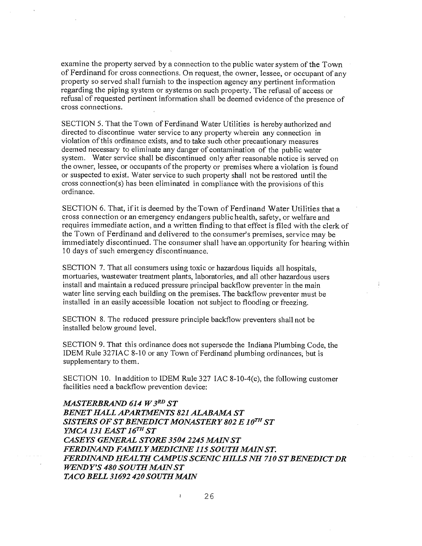examíne the property served by a connection to the public water system of the Town of Ferdinand for cross connections. On request, the owner, lessee, or occupant of any property so served shall furnish to the inspection agency any pertinent information regarding the piping system or systems on such property. The refusal of access or refusal of requested pertinent information shall be deemed evidence of the presence of cross connections.

SECTION 5. That the Town of Ferdinand Water Utilities is hereby authorized and directed to discontinue water service to any property wherein any connection in violation of this ordinance exists, and to take such other precautionary measures deemed necessary to eliminate any danger of contamination of the public water system. Water service shall be discontinued only after reasonable notice is served on the owner, lessee, or occupants of the property or premises where a violation is found or suspected to exist. Water service to such property shall not be restored until the cross connection(s) has been eliminated in compliance with the provisions of this ordinance.

SECTION 6. That, if it is deemed by the Town of Ferdinand Water Utilities that a cross connection or an emergency endangers public health, safety, or welfare and requires immediate action, and a written finding to that effect is filed with the clerk of the Town of Ferdinand and delivered to the consumer's premises, service may be immediately discontinued. The consumer shall have an,opportunity for hearing within 10 days of such emergency discontinuance.

SECTION 7. That all consumers using toxic or hazardous liquids all hospitals, mortuaries, wastewater treatment plants, laboratories, and all other hazardous users install and maintain a reduced pressure principal backflow preventer in the main water line serving each building on the premises. The backflow preventer must be installed in an easily accessible location not subject to flooding or freezing.

SECTION 8. The reduced pressure principle backflow preventers shall not be installed below ground level.

SECTION 9. That this ordinance does not supersede the Indiana Plumbing Code, the IDEM Rule 327IAC 8-10 or any Town of Ferdinand plumbing ordinances, but is supplementary to them.

SECTION 10. In addition to IDEM Rule 327 IAC 8-10-4(c), the following customer facilities need a backflow prevention device:

**MASTERBRAND 614 W 3RD ST BENET HALL APARTMENTS 821 ALABAMA ST** *SISTERS OF ST BENEDICT MONASTERY 802 E 10TH ST YMCA 131 EAST 16TH ST CASEYS GENERAL STORE 3504 2245 MAIN ST FERDINAIVD FAMILY MEDICIIVE 115 SOUTH MAIN ST.*  FERDINAND HEALTH CAMPUS SCENIC HILLS NH 710 ST BENEDICT DR *WEIVDY'S 480 SOUTH MAIN ST TACO BELL 31692 420 SOUTH MAIN* 

 $\mathbf{r}$